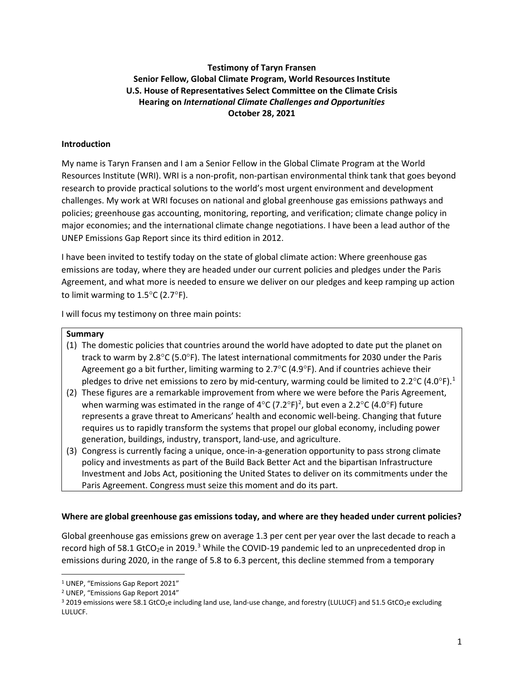# **Testimony of Taryn Fransen Senior Fellow, Global Climate Program, World Resources Institute U.S. House of Representatives Select Committee on the Climate Crisis Hearing on** *International Climate Challenges and Opportunities* **October 28, 2021**

# **Introduction**

My name is Taryn Fransen and I am a Senior Fellow in the Global Climate Program at the World Resources Institute (WRI). WRI is a non-profit, non-partisan environmental think tank that goes beyond research to provide practical solutions to the world's most urgent environment and development challenges. My work at WRI focuses on national and global greenhouse gas emissions pathways and policies; greenhouse gas accounting, monitoring, reporting, and verification; climate change policy in major economies; and the international climate change negotiations. I have been a lead author of the UNEP Emissions Gap Report since its third edition in 2012.

I have been invited to testify today on the state of global climate action: Where greenhouse gas emissions are today, where they are headed under our current policies and pledges under the Paris Agreement, and what more is needed to ensure we deliver on our pledges and keep ramping up action to limit warming to 1.5°C (2.7°F).

I will focus my testimony on three main points:

### **Summary**

- (1) The domestic policies that countries around the world have adopted to date put the planet on track to warm by 2.8°C (5.0°F). The latest international commitments for 2030 under the Paris Agreement go a bit further, limiting warming to 2.7 $\degree$ C (4.9 $\degree$ F). And if countries achieve their pledges to drive net emissions to zero by mid-century, warming could be limited to 2.2 $^{\circ}$ C (4.0 $^{\circ}$ F).<sup>[1](#page-0-0)</sup>
- (2) These figures are a remarkable improvement from where we were before the Paris Agreement, when warming was estimated in the range of 4°C (7.[2](#page-0-1)°F)<sup>2</sup>, but even a 2.2°C (4.0°F) future represents a grave threat to Americans' health and economic well-being. Changing that future requires us to rapidly transform the systems that propel our global economy, including power generation, buildings, industry, transport, land-use, and agriculture.
- (3) Congress is currently facing a unique, once-in-a-generation opportunity to pass strong climate policy and investments as part of the Build Back Better Act and the bipartisan Infrastructure Investment and Jobs Act, positioning the United States to deliver on its commitments under the Paris Agreement. Congress must seize this moment and do its part.

## **Where are global greenhouse gas emissions today, and where are they headed under current policies?**

Global greenhouse gas emissions grew on average 1.3 per cent per year over the last decade to reach a record high of 58.1 GtCO<sub>2</sub>e in 2019.<sup>[3](#page-0-2)</sup> While the COVID-19 pandemic led to an unprecedented drop in emissions during 2020, in the range of 5.8 to 6.3 percent, this decline stemmed from a temporary

<span id="page-0-0"></span><sup>1</sup> UNEP, "Emissions Gap Report 2021"

<span id="page-0-1"></span><sup>2</sup> UNEP, "Emissions Gap Report 2014"

<span id="page-0-2"></span><sup>&</sup>lt;sup>3</sup> 2019 emissions were 58.1 GtCO<sub>2</sub>e including land use, land-use change, and forestry (LULUCF) and 51.5 GtCO<sub>2</sub>e excluding LULUCF.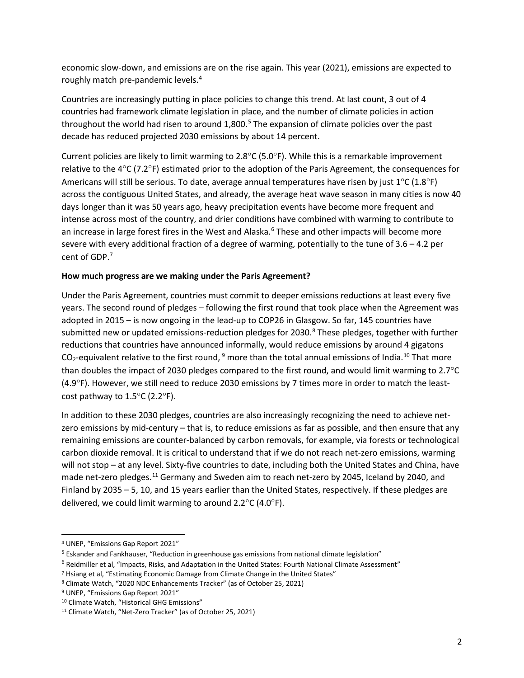economic slow-down, and emissions are on the rise again. This year (2021), emissions are expected to roughly match pre-pandemic levels.<sup>[4](#page-1-0)</sup>

Countries are increasingly putting in place policies to change this trend. At last count, 3 out of 4 countries had framework climate legislation in place, and the number of climate policies in action throughout the world had risen to around  $1,800$ .<sup>[5](#page-1-1)</sup> The expansion of climate policies over the past decade has reduced projected 2030 emissions by about 14 percent.

Current policies are likely to limit warming to  $2.8^{\circ}$ C (5.0 $^{\circ}$ F). While this is a remarkable improvement relative to the 4°C (7.2°F) estimated prior to the adoption of the Paris Agreement, the consequences for Americans will still be serious. To date, average annual temperatures have risen by just  $1^{\circ}C$  (1.8°F) across the contiguous United States, and already, the average heat wave season in many cities is now 40 days longer than it was 50 years ago, heavy precipitation events have become more frequent and intense across most of the country, and drier conditions have combined with warming to contribute to an increase in large forest fires in the West and Alaska.<sup>[6](#page-1-2)</sup> These and other impacts will become more severe with every additional fraction of a degree of warming, potentially to the tune of 3.6 – 4.2 per cent of GDP. [7](#page-1-3)

## **How much progress are we making under the Paris Agreement?**

Under the Paris Agreement, countries must commit to deeper emissions reductions at least every five years. The second round of pledges – following the first round that took place when the Agreement was adopted in 2015 – is now ongoing in the lead-up to COP26 in Glasgow. So far, 145 countries have submitted new or updated emissions-reduction pledges for 2030.<sup>[8](#page-1-4)</sup> These pledges, together with further reductions that countries have announced informally, would reduce emissions by around 4 gigatons  $CO_2$ -equivalent relative to the first round,  $9$  more than the total annual emissions of India.<sup>[10](#page-1-6)</sup> That more than doubles the impact of 2030 pledges compared to the first round, and would limit warming to 2.7°C (4.9°F). However, we still need to reduce 2030 emissions by 7 times more in order to match the leastcost pathway to  $1.5^{\circ}$ C (2.2°F).

In addition to these 2030 pledges, countries are also increasingly recognizing the need to achieve netzero emissions by mid-century – that is, to reduce emissions as far as possible, and then ensure that any remaining emissions are counter-balanced by carbon removals, for example, via forests or technological carbon dioxide removal. It is critical to understand that if we do not reach net-zero emissions, warming will not stop – at any level. Sixty-five countries to date, including both the United States and China, have made net-zero pledges.<sup>[11](#page-1-7)</sup> Germany and Sweden aim to reach net-zero by 2045, Iceland by 2040, and Finland by 2035 – 5, 10, and 15 years earlier than the United States, respectively. If these pledges are delivered, we could limit warming to around 2.2°C (4.0°F).

<span id="page-1-0"></span><sup>4</sup> UNEP, "Emissions Gap Report 2021"

<span id="page-1-1"></span><sup>5</sup> Eskander and Fankhauser, "Reduction in greenhouse gas emissions from national climate legislation"

<span id="page-1-2"></span> $6$  Reidmiller et al, "Impacts, Risks, and Adaptation in the United States: Fourth National Climate Assessment"

<span id="page-1-3"></span><sup>7</sup> Hsiang et al, "Estimating Economic Damage from Climate Change in the United States"

<span id="page-1-4"></span><sup>8</sup> Climate Watch, "2020 NDC Enhancements Tracker" (as of October 25, 2021)

<span id="page-1-5"></span><sup>9</sup> UNEP, "Emissions Gap Report 2021"

<span id="page-1-6"></span><sup>10</sup> Climate Watch, "Historical GHG Emissions"

<span id="page-1-7"></span><sup>11</sup> Climate Watch, "Net-Zero Tracker" (as of October 25, 2021)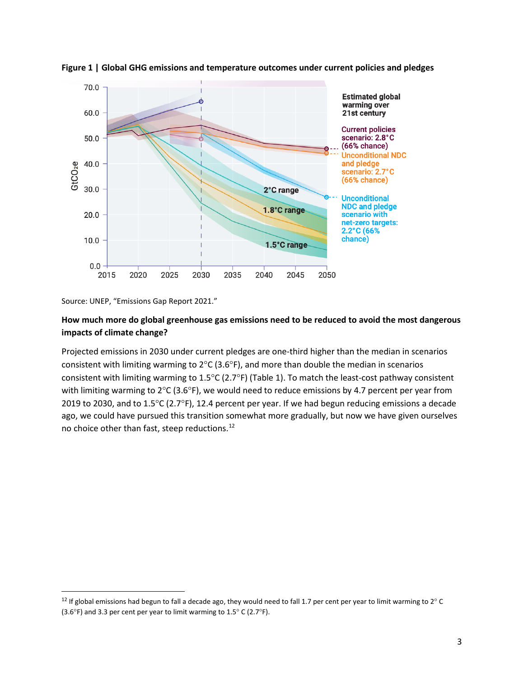

**Figure 1 | Global GHG emissions and temperature outcomes under current policies and pledges**

Source: UNEP, "Emissions Gap Report 2021."

# **How much more do global greenhouse gas emissions need to be reduced to avoid the most dangerous impacts of climate change?**

Projected emissions in 2030 under current pledges are one-third higher than the median in scenarios consistent with limiting warming to 2°C (3.6°F), and more than double the median in scenarios consistent with limiting warming to 1.5°C (2.7°F) (Table 1). To match the least-cost pathway consistent with limiting warming to 2°C (3.6°F), we would need to reduce emissions by 4.7 percent per year from 2019 to 2030, and to 1.5°C (2.7°F), 12.4 percent per year. If we had begun reducing emissions a decade ago, we could have pursued this transition somewhat more gradually, but now we have given ourselves no choice other than fast, steep reductions. [12](#page-2-0)

<span id="page-2-0"></span><sup>&</sup>lt;sup>12</sup> If global emissions had begun to fall a decade ago, they would need to fall 1.7 per cent per year to limit warming to 2° C (3.6 $\degree$ F) and 3.3 per cent per year to limit warming to 1.5 $\degree$  C (2.7 $\degree$ F).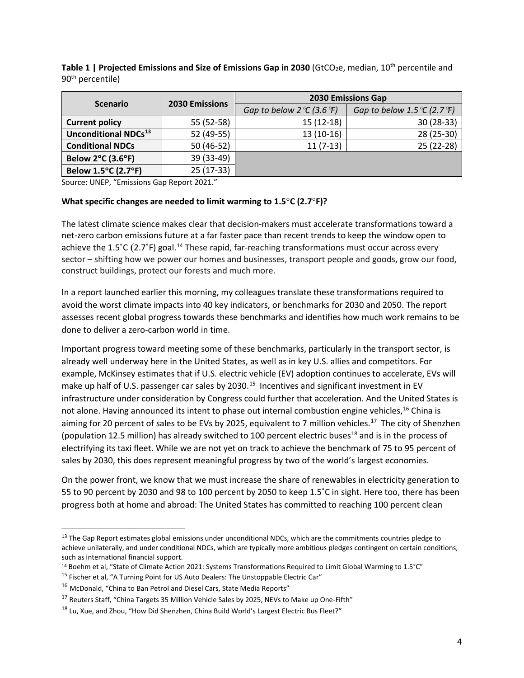| <b>Scenario</b>                         | <b>2030 Emissions</b> | <b>2030 Emissions Gap</b>                         |                                                     |
|-----------------------------------------|-----------------------|---------------------------------------------------|-----------------------------------------------------|
|                                         |                       | Gap to below 2 $\mathcal{C}$ (3.6 $\mathcal{F}$ ) | Gap to below 1.5 $\mathcal{C}$ (2.7 $\mathcal{F}$ ) |
| <b>Current policy</b>                   | 55 (52-58)            | $15(12-18)$                                       | $30(28-33)$                                         |
| <b>Unconditional NDCs</b> <sup>13</sup> | 52 (49-55)            | $13(10-16)$                                       | 28 (25-30)                                          |
| <b>Conditional NDCs</b>                 | 50 (46-52)            | $11(7-13)$                                        | 25 (22-28)                                          |
| <b>Below 2°C (3.6°F)</b>                | 39 (33-49)            |                                                   |                                                     |
| Below 1.5°C (2.7°F)                     | $25(17-33)$           |                                                   |                                                     |

**Table 1 | Projected Emissions and Size of Emissions Gap in 2030** (GtCO<sub>2</sub>e, median, 10<sup>th</sup> percentile and 90<sup>th</sup> percentile)

Source: UNEP, "Emissions Gap Report 2021."

#### **What specific changes are needed to limit warming to 1.5**°**C (2.7**°**F)?**

The latest climate science makes clear that decision-makers must accelerate transformations toward a net-zero carbon emissions future at a far faster pace than recent trends to keep the window open to achieve the 1.5°C (2.7°F) goal.<sup>[14](#page-3-1)</sup> These rapid, far-reaching transformations must occur across every sector – shifting how we power our homes and businesses, transport people and goods, grow our food, construct buildings, protect our forests and much more.

In a report launched earlier this morning, my colleagues translate these transformations required to avoid the worst climate impacts into 40 key indicators, or benchmarks for 2030 and 2050. The report assesses recent global progress towards these benchmarks and identifies how much work remains to be done to deliver a zero-carbon world in time.

Important progress toward meeting some of these benchmarks, particularly in the transport sector, is already well underway here in the United States, as well as in key U.S. allies and competitors. For example, McKinsey estimates that if U.S. electric vehicle (EV) adoption continues to accelerate, EVs will make up half of U.S. passenger car sales by 2030.<sup>[15](#page-3-2)</sup> Incentives and significant investment in EV infrastructure under consideration by Congress could further that acceleration. And the United States is not alone. Having announced its intent to phase out internal combustion engine vehicles.<sup>[16](#page-3-3)</sup> China is aiming for 20 percent of sales to be EVs by 2025, equivalent to 7 million vehicles.<sup>[17](#page-3-4)</sup> The city of Shenzhen (population 12.5 million) has already switched to 100 percent electric buses<sup>[18](#page-3-5)</sup> and is in the process of electrifying its taxi fleet. While we are not yet on track to achieve the benchmark of 75 to 95 percent of sales by 2030, this does represent meaningful progress by two of the world's largest economies.

On the power front, we know that we must increase the share of renewables in electricity generation to 55 to 90 percent by 2030 and 98 to 100 percent by 2050 to keep 1.5˚C in sight. Here too, there has been progress both at home and abroad: The United States has committed to reaching 100 percent clean

<span id="page-3-0"></span><sup>&</sup>lt;sup>13</sup> The Gap Report estimates global emissions under unconditional NDCs, which are the commitments countries pledge to achieve unilaterally, and under conditional NDCs, which are typically more ambitious pledges contingent on certain conditions, such as international financial support.

<span id="page-3-1"></span><sup>14</sup> Boehm et al, "State of Climate Action 2021: Systems Transformations Required to Limit Global Warming to 1.5°C"

<span id="page-3-2"></span><sup>&</sup>lt;sup>15</sup> Fischer et al, "A Turning Point for US Auto Dealers: The Unstoppable Electric Car"

<span id="page-3-3"></span><sup>&</sup>lt;sup>16</sup> [McDonald, "China to Ban Petrol and Diesel Cars, State Media Reports"](https://www.independent.co.uk/news/world/asia/china-petrol-diesel-car-ban-gasoline-production-sales-electric-cabinet-official-state-media-a7938726.html)

<span id="page-3-4"></span><sup>&</sup>lt;sup>17</sup> Reuters Staff, "China Targets 35 Million Vehicle Sales by 2025, NEVs to Make up One-Fifth"

<span id="page-3-5"></span><sup>&</sup>lt;sup>18</sup> Lu, Xue, and Zhou, "How Did Shenzhen, China Build World's Largest Electric Bus Fleet?"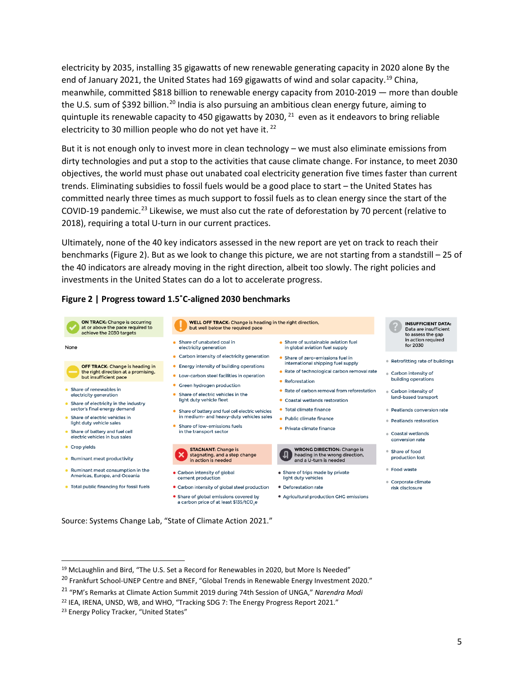electricity by 2035, installing 35 gigawatts of new renewable generating capacity in 2020 alone By the end of January 2021, the United States had 169 gigawatts of wind and solar capacity.<sup>19</sup> China, meanwhile, committed \$818 billion to renewable energy capacity from 2010-2019 — more than double the U.S. sum of \$392 billion.<sup>[20](#page-4-1)</sup> India is also pursuing an ambitious clean energy future, aiming to quintuple its renewable capacity to 450 gigawatts by 2030,  $21$  even as it endeavors to bring reliable electricity to 30 million people who do not yet have it.<sup>[22](#page-4-3)</sup>

But it is not enough only to invest more in clean technology – we must also eliminate emissions from dirty technologies and put a stop to the activities that cause climate change. For instance, to meet 2030 objectives, the world must phase out unabated coal electricity generation five times faster than current trends. Eliminating subsidies to fossil fuels would be a good place to start – the United States has committed nearly three times as much support to fossil fuels as to clean energy since the start of the COVID-19 pandemic.<sup>[23](#page-4-4)</sup> Likewise, we must also cut the rate of deforestation by 70 percent (relative to 2018), requiring a total U-turn in our current practices.

Ultimately, none of the 40 key indicators assessed in the new report are yet on track to reach their benchmarks (Figure 2). But as we look to change this picture, we are not starting from a standstill – 25 of the 40 indicators are already moving in the right direction, albeit too slowly. The right policies and investments in the United States can do a lot to accelerate progress.



# **Figure 2 | Progress toward 1.5˚C-aligned 2030 benchmarks**

Source: Systems Change Lab, "State of Climate Action 2021."

<span id="page-4-0"></span><sup>&</sup>lt;sup>19</sup> McLaughlin and Bird, "The U.S. Set a Record for Renewables in 2020, but More Is Needed"

<span id="page-4-1"></span><sup>&</sup>lt;sup>20</sup> Frankfurt School-UNEP Centre and BNEF, "Global Trends in Renewable Energy Investment 2020."

<span id="page-4-2"></span><sup>21</sup> "PM's Remarks at Climate Action Summit 2019 during 74th Session of UNGA," *Narendra Modi*

<span id="page-4-3"></span><sup>&</sup>lt;sup>22</sup> IEA, IRENA, UNSD, WB, and WHO, "Tracking SDG 7: The Energy Progress Report 2021."

<span id="page-4-4"></span><sup>&</sup>lt;sup>23</sup> Energy Policy Tracker, "United States"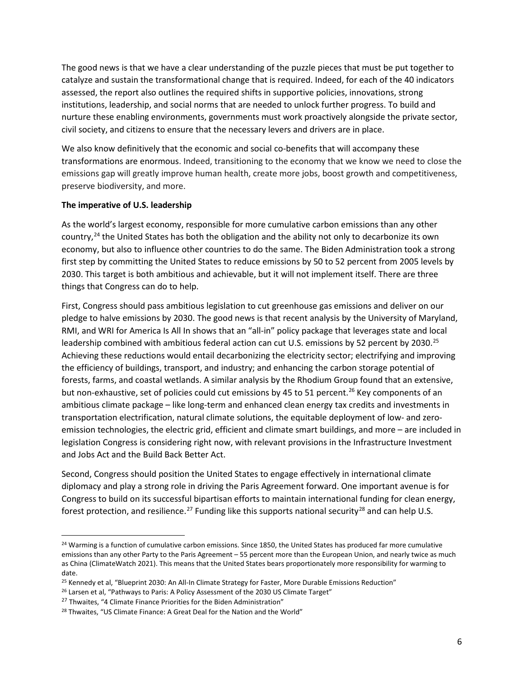The good news is that we have a clear understanding of the puzzle pieces that must be put together to catalyze and sustain the transformational change that is required. Indeed, for each of the 40 indicators assessed, the report also outlines the required shifts in supportive policies, innovations, strong institutions, leadership, and social norms that are needed to unlock further progress. To build and nurture these enabling environments, governments must work proactively alongside the private sector, civil society, and citizens to ensure that the necessary levers and drivers are in place.

We also know definitively that the economic and social co-benefits that will accompany these transformations are enormous. Indeed, transitioning to the economy that we know we need to close the emissions gap will greatly improve human health, create more jobs, boost growth and competitiveness, preserve biodiversity, and more.

# **The imperative of U.S. leadership**

As the world's largest economy, responsible for more cumulative carbon emissions than any other country,<sup>[24](#page-5-0)</sup> the United States has both the obligation and the ability not only to decarbonize its own economy, but also to influence other countries to do the same. The Biden Administration took a strong first step by committing the United States to reduce emissions by 50 to 52 percent from 2005 levels by 2030. This target is both ambitious and achievable, but it will not implement itself. There are three things that Congress can do to help.

First, Congress should pass ambitious legislation to cut greenhouse gas emissions and deliver on our pledge to halve emissions by 2030. The good news is that recent analysis by the University of Maryland, RMI, and WRI for America Is All In shows that an "all-in" policy package that leverages state and local leadership combined with ambitious federal action can cut U.S. emissions by 52 percent by 2030.<sup>[25](#page-5-1)</sup> Achieving these reductions would entail decarbonizing the electricity sector; electrifying and improving the efficiency of buildings, transport, and industry; and enhancing the carbon storage potential of forests, farms, and coastal wetlands. A similar analysis by the Rhodium Group found that an extensive, but non-exhaustive, set of policies could cut emissions by 45 to 51 percent.<sup>[26](#page-5-2)</sup> Key components of an ambitious climate package – like long-term and enhanced clean energy tax credits and investments in transportation electrification, natural climate solutions, the equitable deployment of low- and zeroemission technologies, the electric grid, efficient and climate smart buildings, and more – are included in legislation Congress is considering right now, with relevant provisions in the Infrastructure Investment and Jobs Act and the Build Back Better Act.

Second, Congress should position the United States to engage effectively in international climate diplomacy and play a strong role in driving the Paris Agreement forward. One important avenue is for Congress to build on its successful bipartisan efforts to maintain international funding for clean energy, forest protection, and resilience.<sup>[27](#page-5-3)</sup> Funding like this supports national security<sup>[28](#page-5-4)</sup> and can help U.S.

<span id="page-5-0"></span><sup>&</sup>lt;sup>24</sup> Warming is a function of cumulative carbon emissions. Since 1850, the United States has produced far more cumulative emissions than any other Party to the Paris Agreement – 55 percent more than the European Union, and nearly twice as much as China (ClimateWatch 2021). This means that the United States bears proportionately more responsibility for warming to date.

<span id="page-5-1"></span><sup>&</sup>lt;sup>25</sup> Kennedy et al, "Blueprint 2030: An All-In Climate Strategy for Faster, More Durable Emissions Reduction"

<span id="page-5-2"></span><sup>&</sup>lt;sup>26</sup> Larsen et al, "Pathways to Paris: A Policy Assessment of the 2030 US Climate Target"

<span id="page-5-3"></span><sup>&</sup>lt;sup>27</sup> Thwaites, "4 Climate Finance Priorities for the Biden Administration"

<span id="page-5-4"></span><sup>&</sup>lt;sup>28</sup> Thwaites, "US Climate Finance: A Great Deal for the Nation and the World"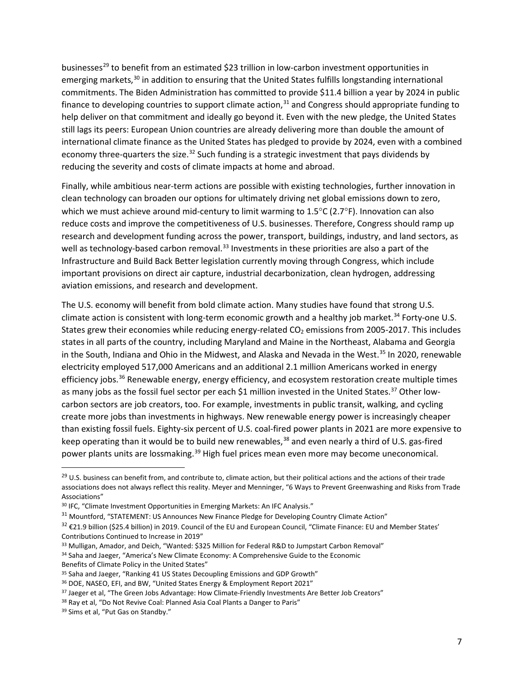businesses<sup>29</sup> to benefit from an estimated \$23 trillion in low-carbon investment opportunities in emerging markets,<sup>[30](#page-6-1)</sup> in addition to ensuring that the United States fulfills longstanding international commitments. The Biden Administration has committed to provide \$11.4 billion a year by 2024 in public finance to developing countries to support climate action,  $31$  and Congress should appropriate funding to help deliver on that commitment and ideally go beyond it. Even with the new pledge, the United States still lags its peers: European Union countries are already delivering more than double the amount of international climate finance as the United States has pledged to provide by 2024, even with a combined economy three-quarters the size.<sup>[32](#page-6-3)</sup> Such funding is a strategic investment that pays dividends by reducing the severity and costs of climate impacts at home and abroad.

Finally, while ambitious near-term actions are possible with existing technologies, further innovation in clean technology can broaden our options for ultimately driving net global emissions down to zero, which we must achieve around mid-century to limit warming to 1.5°C (2.7°F). Innovation can also reduce costs and improve the competitiveness of U.S. businesses. Therefore, Congress should ramp up research and development funding across the power, transport, buildings, industry, and land sectors, as well as technology-based carbon removal.<sup>[33](#page-6-4)</sup> Investments in these priorities are also a part of the Infrastructure and Build Back Better legislation currently moving through Congress, which include important provisions on direct air capture, industrial decarbonization, clean hydrogen, addressing aviation emissions, and research and development.

The U.S. economy will benefit from bold climate action. Many studies have found that strong U.S. climate action is consistent with long-term economic growth and a healthy job market.<sup>[34](#page-6-5)</sup> Forty-one U.S. States grew their economies while reducing energy-related CO<sub>2</sub> emissions from 2005-2017. This includes states in all parts of the country, including Maryland and Maine in the Northeast, Alabama and Georgia in the South, Indiana and Ohio in the Midwest, and Alaska and Nevada in the West. [35](#page-6-6) In 2020, renewable electricity employed 517,000 Americans and an additional 2.1 million Americans worked in energy efficiency jobs.<sup>[36](#page-6-7)</sup> Renewable energy, energy efficiency, and ecosystem restoration create multiple times as many jobs as the fossil fuel sector per each \$1 million invested in the United States.<sup>[37](#page-6-8)</sup> Other lowcarbon sectors are job creators, too. For example, investments in public transit, walking, and cycling create more jobs than investments in highways. New renewable energy power is increasingly cheaper than existing fossil fuels. Eighty-six percent of U.S. coal-fired power plants in 2021 are more expensive to keep operating than it would be to build new renewables,<sup>[38](#page-6-9)</sup> and even nearly a third of U.S. gas-fired power plants units are lossmaking.<sup>[39](#page-6-10)</sup> High fuel prices mean even more may become uneconomical.

- <span id="page-6-4"></span>33 Mulligan, Amador, and Deich, "Wanted: \$325 Million for Federal R&D to Jumpstart Carbon Removal"
- <span id="page-6-5"></span><sup>34</sup> Saha and Jaeger, "America's New Climate Economy: A Comprehensive Guide to the Economic
- Benefits of Climate Policy in the United States"

<span id="page-6-0"></span><sup>&</sup>lt;sup>29</sup> U.S. business can benefit from, and contribute to, climate action, but their political actions and the actions of their trade associations does not always reflect this reality. Meyer and Menninger, "6 Ways to Prevent Greenwashing and Risks from Trade Associations"

<span id="page-6-1"></span><sup>&</sup>lt;sup>30</sup> IFC, "Climate Investment Opportunities in Emerging Markets: An IFC Analysis."

<span id="page-6-2"></span><sup>&</sup>lt;sup>31</sup> Mountford, "STATEMENT: US Announces New Finance Pledge for Developing Country Climate Action"

<span id="page-6-3"></span> $32 \text{ } \text{\&} 21.9$  billion (\$25.4 billion) in 2019. Council of the EU and European Council, "Climate Finance: EU and Member States' Contributions Continued to Increase in 2019"

<span id="page-6-6"></span><sup>35</sup> Saha and Jaeger, "Ranking 41 US States Decoupling Emissions and GDP Growth"

<span id="page-6-7"></span><sup>36</sup> DOE, NASEO, EFI, and BW, "United States Energy & Employment Report 2021"

<span id="page-6-8"></span><sup>&</sup>lt;sup>37</sup> Jaeger et al, "The Green Jobs Advantage: How Climate-Friendly Investments Are Better Job Creators"

<span id="page-6-10"></span><span id="page-6-9"></span><sup>&</sup>lt;sup>38</sup> Ray et al, "Do Not Revive Coal: Planned Asia Coal Plants a Danger to Paris" <sup>39</sup> Sims et al, "Put Gas on Standby."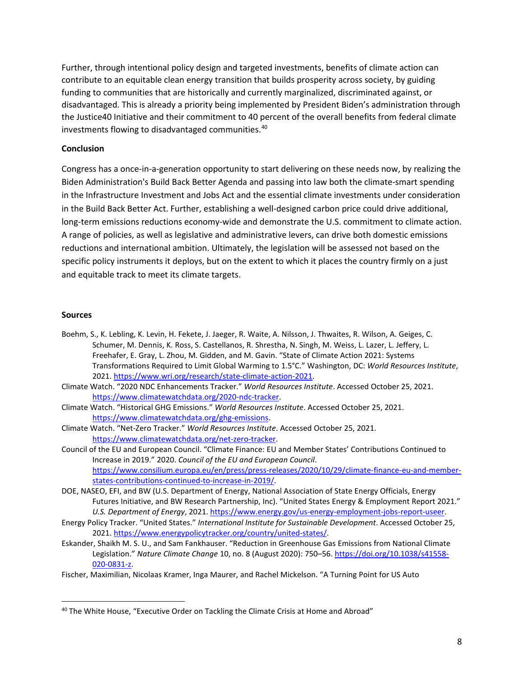Further, through intentional policy design and targeted investments, benefits of climate action can contribute to an equitable clean energy transition that builds prosperity across society, by guiding funding to communities that are historically and currently marginalized, discriminated against, or disadvantaged. This is already a priority being implemented by President Biden's administration through the Justice40 Initiative and their commitment to 40 percent of the overall benefits from federal climate investments flowing to disadvantaged communities.[40](#page-7-0)

#### **Conclusion**

Congress has a once-in-a-generation opportunity to start delivering on these needs now, by realizing the Biden Administration's Build Back Better Agenda and passing into law both the climate-smart spending in the Infrastructure Investment and Jobs Act and the essential climate investments under consideration in the Build Back Better Act. Further, establishing a well-designed carbon price could drive additional, long-term emissions reductions economy-wide and demonstrate the U.S. commitment to climate action. A range of policies, as well as legislative and administrative levers, can drive both domestic emissions reductions and international ambition. Ultimately, the legislation will be assessed not based on the specific policy instruments it deploys, but on the extent to which it places the country firmly on a just and equitable track to meet its climate targets.

#### **Sources**

- Boehm, S., K. Lebling, K. Levin, H. Fekete, J. Jaeger, R. Waite, A. Nilsson, J. Thwaites, R. Wilson, A. Geiges, C. Schumer, M. Dennis, K. Ross, S. Castellanos, R. Shrestha, N. Singh, M. Weiss, L. Lazer, L. Jeffery, L. Freehafer, E. Gray, L. Zhou, M. Gidden, and M. Gavin. "State of Climate Action 2021: Systems Transformations Required to Limit Global Warming to 1.5°C." Washington, DC: *World Resources Institute*, 2021. [https://www.wri.org/research/state-climate-action-2021.](https://www.wri.org/research/state-climate-action-2021)
- Climate Watch. "2020 NDC Enhancements Tracker." *World Resources Institute*. Accessed October 25, 2021. [https://www.climatewatchdata.org/2020-ndc-tracker.](https://www.climatewatchdata.org/2020-ndc-tracker)
- Climate Watch. "Historical GHG Emissions." *World Resources Institute*. Accessed October 25, 2021. [https://www.climatewatchdata.org/ghg-emissions.](https://www.climatewatchdata.org/ghg-emissions)
- Climate Watch. "Net-Zero Tracker." *World Resources Institute*. Accessed October 25, 2021. [https://www.climatewatchdata.org/net-zero-tracker.](https://www.climatewatchdata.org/net-zero-tracker)
- Council of the EU and European Council. "Climate Finance: EU and Member States' Contributions Continued to Increase in 2019." 2020. *Council of the EU and European Council*. [https://www.consilium.europa.eu/en/press/press-releases/2020/10/29/climate-finance-eu-and-member](https://www.consilium.europa.eu/en/press/press-releases/2020/10/29/climate-finance-eu-and-member-states-contributions-continued-to-increase-in-2019/)[states-contributions-continued-to-increase-in-2019/.](https://www.consilium.europa.eu/en/press/press-releases/2020/10/29/climate-finance-eu-and-member-states-contributions-continued-to-increase-in-2019/)
- DOE, NASEO, EFI, and BW (U.S. Department of Energy, National Association of State Energy Officials, Energy Futures Initiative, and BW Research Partnership, Inc). "United States Energy & Employment Report 2021." *U.S. Department of Energy*, 2021. [https://www.energy.gov/us-energy-employment-jobs-report-useer.](https://www.energy.gov/us-energy-employment-jobs-report-useer)
- Energy Policy Tracker. "United States." *International Institute for Sustainable Development*. Accessed October 25, 2021. [https://www.energypolicytracker.org/country/united-states/.](https://www.energypolicytracker.org/country/united-states/)
- Eskander, Shaikh M. S. U., and Sam Fankhauser. "Reduction in Greenhouse Gas Emissions from National Climate Legislation." *Nature Climate Change* 10, no. 8 (August 2020): 750–56[. https://doi.org/10.1038/s41558-](https://doi.org/10.1038/s41558-020-0831-z) [020-0831-z.](https://doi.org/10.1038/s41558-020-0831-z)
- Fischer, Maximilian, Nicolaas Kramer, Inga Maurer, and Rachel Mickelson. "A Turning Point for US Auto

<span id="page-7-0"></span><sup>&</sup>lt;sup>40</sup> The White House, "Executive Order on Tackling the Climate Crisis at Home and Abroad"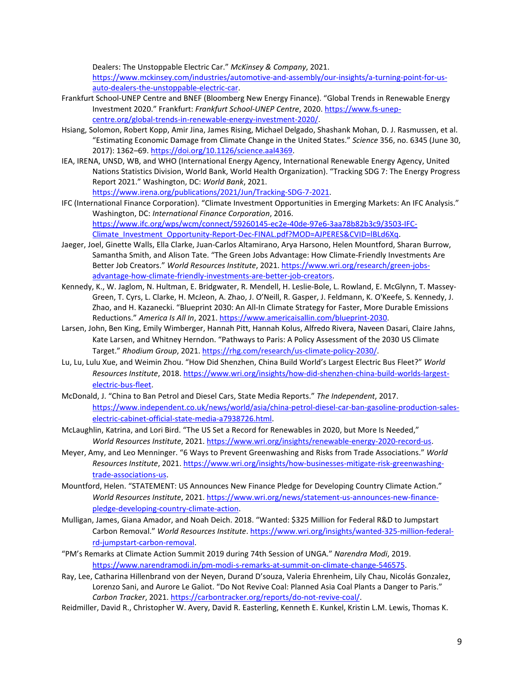Dealers: The Unstoppable Electric Car." *McKinsey & Company*, 2021.

[https://www.mckinsey.com/industries/automotive-and-assembly/our-insights/a-turning-point-for-us](https://www.mckinsey.com/industries/automotive-and-assembly/our-insights/a-turning-point-for-us-auto-dealers-the-unstoppable-electric-car)[auto-dealers-the-unstoppable-electric-car.](https://www.mckinsey.com/industries/automotive-and-assembly/our-insights/a-turning-point-for-us-auto-dealers-the-unstoppable-electric-car)

- Frankfurt School-UNEP Centre and BNEF (Bloomberg New Energy Finance). "Global Trends in Renewable Energy Investment 2020." Frankfurt: *Frankfurt School-UNEP Centre*, 2020[. https://www.fs-unep](https://www.fs-unep-centre.org/global-trends-in-renewable-energy-investment-2020/)[centre.org/global-trends-in-renewable-energy-investment-2020/.](https://www.fs-unep-centre.org/global-trends-in-renewable-energy-investment-2020/)
- Hsiang, Solomon, Robert Kopp, Amir Jina, James Rising, Michael Delgado, Shashank Mohan, D. J. Rasmussen, et al. "Estimating Economic Damage from Climate Change in the United States." *Science* 356, no. 6345 (June 30, 2017): 1362–69[. https://doi.org/10.1126/science.aal4369.](https://doi.org/10.1126/science.aal4369)
- IEA, IRENA, UNSD, WB, and WHO (International Energy Agency, International Renewable Energy Agency, United Nations Statistics Division, World Bank, World Health Organization). "Tracking SDG 7: The Energy Progress Report 2021." Washington, DC: *World Bank*, 2021. [https://www.irena.org/publications/2021/Jun/Tracking-SDG-7-2021.](https://www.irena.org/publications/2021/Jun/Tracking-SDG-7-2021)
- IFC (International Finance Corporation). "Climate Investment Opportunities in Emerging Markets: An IFC Analysis." Washington, DC: *International Finance Corporation*, 2016. [https://www.ifc.org/wps/wcm/connect/59260145-ec2e-40de-97e6-3aa78b82b3c9/3503-IFC-](https://www.ifc.org/wps/wcm/connect/59260145-ec2e-40de-97e6-3aa78b82b3c9/3503-IFC-Climate_Investment_Opportunity-Report-Dec-FINAL.pdf?MOD=AJPERES&CVID=lBLd6Xq)[Climate\\_Investment\\_Opportunity-Report-Dec-FINAL.pdf?MOD=AJPERES&CVID=lBLd6Xq.](https://www.ifc.org/wps/wcm/connect/59260145-ec2e-40de-97e6-3aa78b82b3c9/3503-IFC-Climate_Investment_Opportunity-Report-Dec-FINAL.pdf?MOD=AJPERES&CVID=lBLd6Xq)
- Jaeger, Joel, Ginette Walls, Ella Clarke, Juan-Carlos Altamirano, Arya Harsono, Helen Mountford, Sharan Burrow, Samantha Smith, and Alison Tate. "The Green Jobs Advantage: How Climate-Friendly Investments Are Better Job Creators." *World Resources Institute*, 2021. [https://www.wri.org/research/green-jobs](https://www.wri.org/research/green-jobs-advantage-how-climate-friendly-investments-are-better-job-creators)[advantage-how-climate-friendly-investments-are-better-job-creators.](https://www.wri.org/research/green-jobs-advantage-how-climate-friendly-investments-are-better-job-creators)
- Kennedy, K., W. Jaglom, N. Hultman, E. Bridgwater, R. Mendell, H. Leslie-Bole, L. Rowland, E. McGlynn, T. Massey-Green, T. Cyrs, L. Clarke, H. McJeon, A. Zhao, J. O'Neill, R. Gasper, J. Feldmann, K. O'Keefe, S. Kennedy, J. Zhao, and H. Kazanecki. "Blueprint 2030: An All-In Climate Strategy for Faster, More Durable Emissions Reductions." *America Is All In*, 2021[. https://www.americaisallin.com/blueprint-2030.](https://www.americaisallin.com/blueprint-2030)
- Larsen, John, Ben King, Emily Wimberger, Hannah Pitt, Hannah Kolus, Alfredo Rivera, Naveen Dasari, Claire Jahns, Kate Larsen, and Whitney Herndon. "Pathways to Paris: A Policy Assessment of the 2030 US Climate Target." *Rhodium Group*, 2021[. https://rhg.com/research/us-climate-policy-2030/.](https://rhg.com/research/us-climate-policy-2030/)
- Lu, Lu, Lulu Xue, and Weimin Zhou. "How Did Shenzhen, China Build World's Largest Electric Bus Fleet?" *World Resources Institute*, 2018. [https://www.wri.org/insights/how-did-shenzhen-china-build-worlds-largest](https://www.wri.org/insights/how-did-shenzhen-china-build-worlds-largest-electric-bus-fleet)[electric-bus-fleet.](https://www.wri.org/insights/how-did-shenzhen-china-build-worlds-largest-electric-bus-fleet)
- McDonald, J. "China to Ban Petrol and Diesel Cars, State Media Reports." *The Independent*, 2017. https://www.independent.co.uk/news/world/asia/china-petrol-diesel-car-ban-gasoline-production-saleselectric-cabinet-official-state-media-a7938726.html.
- McLaughlin, Katrina, and Lori Bird. "The US Set a Record for Renewables in 2020, but More Is Needed," *World Resources Institute*, 2021. [https://www.wri.org/insights/renewable-energy-2020-record-us.](https://www.wri.org/insights/renewable-energy-2020-record-us)
- Meyer, Amy, and Leo Menninger. "6 Ways to Prevent Greenwashing and Risks from Trade Associations." *World Resources Institute*, 2021. https://www.wri.org/insights/how-businesses-mitigate-risk-greenwashingtrade-associations-us.
- Mountford, Helen. "STATEMENT: US Announces New Finance Pledge for Developing Country Climate Action." *World Resources Institute*, 2021[. https://www.wri.org/news/statement-us-announces-new-finance](https://www.wri.org/news/statement-us-announces-new-finance-pledge-developing-country-climate-action)[pledge-developing-country-climate-action.](https://www.wri.org/news/statement-us-announces-new-finance-pledge-developing-country-climate-action)
- Mulligan, James, Giana Amador, and Noah Deich. 2018. "Wanted: \$325 Million for Federal R&D to Jumpstart Carbon Removal." *World Resources Institute*[. https://www.wri.org/insights/wanted-325-million-federal](https://www.wri.org/insights/wanted-325-million-federal-rd-jumpstart-carbon-removal)[rd-jumpstart-carbon-removal.](https://www.wri.org/insights/wanted-325-million-federal-rd-jumpstart-carbon-removal)
- "PM's Remarks at Climate Action Summit 2019 during 74th Session of UNGA." *Narendra Modi*, 2019. [https://www.narendramodi.in/pm-modi-s-remarks-at-summit-on-climate-change-546575.](https://www.narendramodi.in/pm-modi-s-remarks-at-summit-on-climate-change-546575)
- Ray, Lee, Catharina Hillenbrand von der Neyen, Durand D'souza, Valeria Ehrenheim, Lily Chau, Nicolás Gonzalez, Lorenzo Sani, and Aurore Le Galiot. "Do Not Revive Coal: Planned Asia Coal Plants a Danger to Paris." *Carbon Tracker*, 2021[. https://carbontracker.org/reports/do-not-revive-coal/.](https://carbontracker.org/reports/do-not-revive-coal/)
- Reidmiller, David R., Christopher W. Avery, David R. Easterling, Kenneth E. Kunkel, Kristin L.M. Lewis, Thomas K.